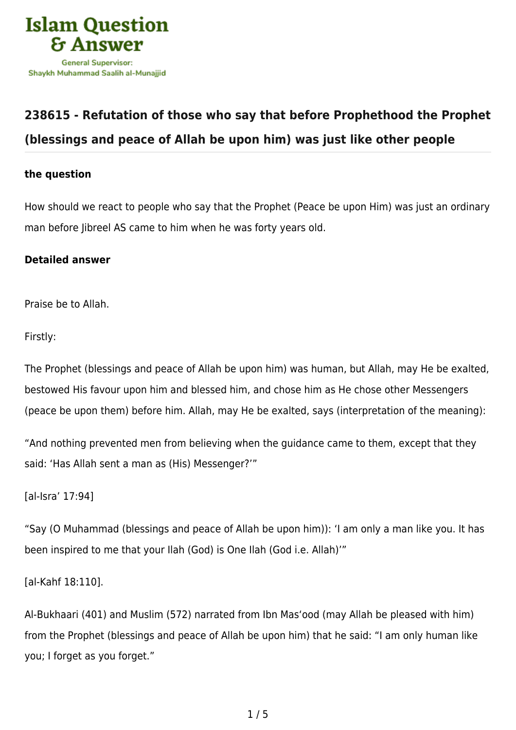

## **[238615 - Refutation of those who say that before Prophethood the Prophet](https://islamqa.info/en/answers/238615/refutation-of-those-who-say-that-before-prophethood-the-prophet-blessings-and-peace-of-allah-be-upon-him-was-just-like-other-people) [\(blessings and peace of Allah be upon him\) was just like other people](https://islamqa.info/en/answers/238615/refutation-of-those-who-say-that-before-prophethood-the-prophet-blessings-and-peace-of-allah-be-upon-him-was-just-like-other-people)**

## **the question**

How should we react to people who say that the Prophet (Peace be upon Him) was just an ordinary man before Jibreel AS came to him when he was forty years old.

## **Detailed answer**

Praise be to Allah.

Firstly:

The Prophet (blessings and peace of Allah be upon him) was human, but Allah, may He be exalted, bestowed His favour upon him and blessed him, and chose him as He chose other Messengers (peace be upon them) before him. Allah, may He be exalted, says (interpretation of the meaning):

"And nothing prevented men from believing when the guidance came to them, except that they said: 'Has Allah sent a man as (His) Messenger?'"

[al-Isra' 17:94]

"Say (O Muhammad (blessings and peace of Allah be upon him)): 'I am only a man like you. It has been inspired to me that your Ilah (God) is One Ilah (God i.e. Allah)'"

[al-Kahf 18:110].

Al-Bukhaari (401) and Muslim (572) narrated from Ibn Mas'ood (may Allah be pleased with him) from the Prophet (blessings and peace of Allah be upon him) that he said: "I am only human like you; I forget as you forget."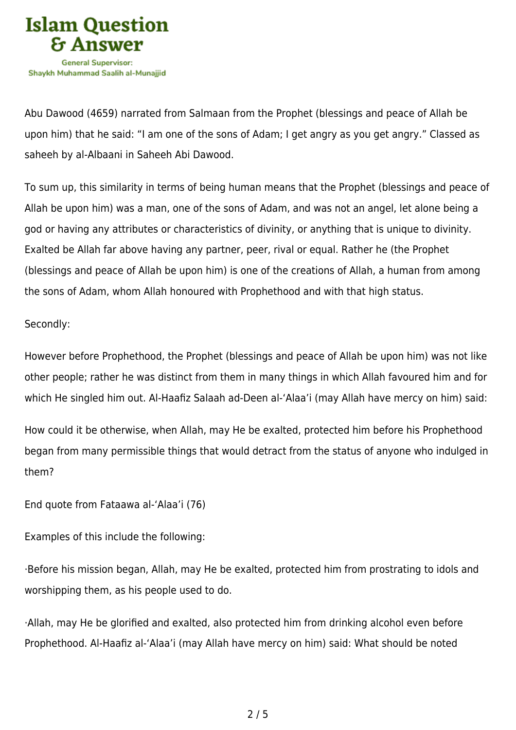

Abu Dawood (4659) narrated from Salmaan from the Prophet (blessings and peace of Allah be upon him) that he said: "I am one of the sons of Adam; I get angry as you get angry." Classed as saheeh by al-Albaani in Saheeh Abi Dawood.

To sum up, this similarity in terms of being human means that the Prophet (blessings and peace of Allah be upon him) was a man, one of the sons of Adam, and was not an angel, let alone being a god or having any attributes or characteristics of divinity, or anything that is unique to divinity. Exalted be Allah far above having any partner, peer, rival or equal. Rather he (the Prophet (blessings and peace of Allah be upon him) is one of the creations of Allah, a human from among the sons of Adam, whom Allah honoured with Prophethood and with that high status.

## Secondly:

However before Prophethood, the Prophet (blessings and peace of Allah be upon him) was not like other people; rather he was distinct from them in many things in which Allah favoured him and for which He singled him out. Al-Haafiz Salaah ad-Deen al-'Alaa'i (may Allah have mercy on him) said:

How could it be otherwise, when Allah, may He be exalted, protected him before his Prophethood began from many permissible things that would detract from the status of anyone who indulged in them?

End quote from Fataawa al-'Alaa'i (76)

Examples of this include the following:

·Before his mission began, Allah, may He be exalted, protected him from prostrating to idols and worshipping them, as his people used to do.

·Allah, may He be glorified and exalted, also protected him from drinking alcohol even before Prophethood. Al-Haafiz al-'Alaa'i (may Allah have mercy on him) said: What should be noted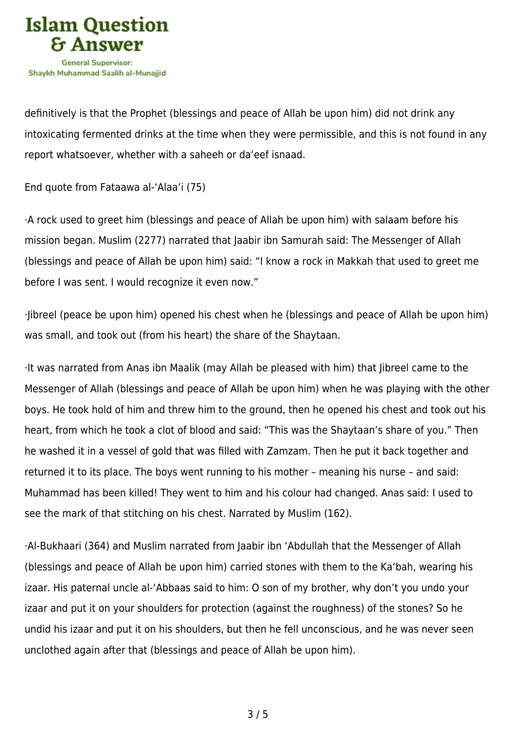

definitively is that the Prophet (blessings and peace of Allah be upon him) did not drink any intoxicating fermented drinks at the time when they were permissible, and this is not found in any report whatsoever, whether with a saheeh or da'eef isnaad.

End quote from Fataawa al-'Alaa'i (75)

·A rock used to greet him (blessings and peace of Allah be upon him) with salaam before his mission began. Muslim (2277) narrated that Jaabir ibn Samurah said: The Messenger of Allah (blessings and peace of Allah be upon him) said: "I know a rock in Makkah that used to greet me before I was sent. I would recognize it even now."

·Jibreel (peace be upon him) opened his chest when he (blessings and peace of Allah be upon him) was small, and took out (from his heart) the share of the Shaytaan.

·It was narrated from Anas ibn Maalik (may Allah be pleased with him) that Jibreel came to the Messenger of Allah (blessings and peace of Allah be upon him) when he was playing with the other boys. He took hold of him and threw him to the ground, then he opened his chest and took out his heart, from which he took a clot of blood and said: "This was the Shaytaan's share of you." Then he washed it in a vessel of gold that was filled with Zamzam. Then he put it back together and returned it to its place. The boys went running to his mother – meaning his nurse – and said: Muhammad has been killed! They went to him and his colour had changed. Anas said: I used to see the mark of that stitching on his chest. Narrated by Muslim (162).

·Al-Bukhaari (364) and Muslim narrated from Jaabir ibn 'Abdullah that the Messenger of Allah (blessings and peace of Allah be upon him) carried stones with them to the Ka'bah, wearing his izaar. His paternal uncle al-'Abbaas said to him: O son of my brother, why don't you undo your izaar and put it on your shoulders for protection (against the roughness) of the stones? So he undid his izaar and put it on his shoulders, but then he fell unconscious, and he was never seen unclothed again after that (blessings and peace of Allah be upon him).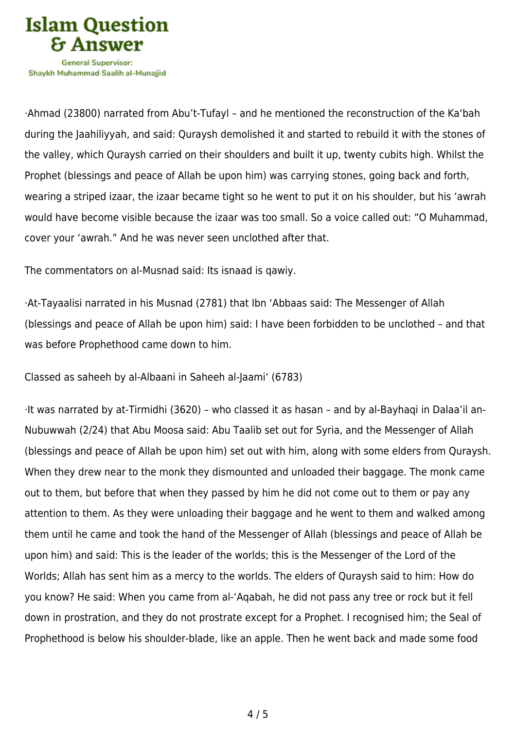

Shavkh Muhammad Saalih al-Munaiiid

·Ahmad (23800) narrated from Abu't-Tufayl – and he mentioned the reconstruction of the Ka'bah during the Jaahiliyyah, and said: Quraysh demolished it and started to rebuild it with the stones of the valley, which Quraysh carried on their shoulders and built it up, twenty cubits high. Whilst the Prophet (blessings and peace of Allah be upon him) was carrying stones, going back and forth, wearing a striped izaar, the izaar became tight so he went to put it on his shoulder, but his 'awrah would have become visible because the izaar was too small. So a voice called out: "O Muhammad, cover your 'awrah." And he was never seen unclothed after that.

The commentators on al-Musnad said: Its isnaad is qawiy.

·At-Tayaalisi narrated in his Musnad (2781) that Ibn 'Abbaas said: The Messenger of Allah (blessings and peace of Allah be upon him) said: I have been forbidden to be unclothed – and that was before Prophethood came down to him.

Classed as saheeh by al-Albaani in Saheeh al-Jaami' (6783)

·It was narrated by at-Tirmidhi (3620) – who classed it as hasan – and by al-Bayhaqi in Dalaa'il an-Nubuwwah (2/24) that Abu Moosa said: Abu Taalib set out for Syria, and the Messenger of Allah (blessings and peace of Allah be upon him) set out with him, along with some elders from Quraysh. When they drew near to the monk they dismounted and unloaded their baggage. The monk came out to them, but before that when they passed by him he did not come out to them or pay any attention to them. As they were unloading their baggage and he went to them and walked among them until he came and took the hand of the Messenger of Allah (blessings and peace of Allah be upon him) and said: This is the leader of the worlds; this is the Messenger of the Lord of the Worlds; Allah has sent him as a mercy to the worlds. The elders of Quraysh said to him: How do you know? He said: When you came from al-'Aqabah, he did not pass any tree or rock but it fell down in prostration, and they do not prostrate except for a Prophet. I recognised him; the Seal of Prophethood is below his shoulder-blade, like an apple. Then he went back and made some food